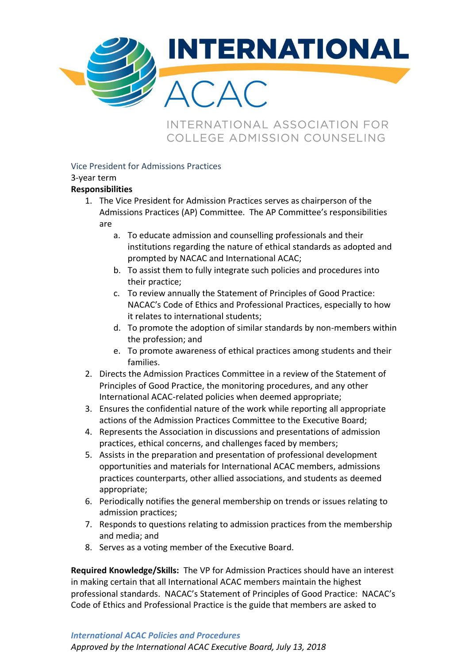

INTERNATIONAL ASSOCIATION FOR COLLEGE ADMISSION COUNSELING

## Vice President for Admissions Practices

## 3-year term

## **Responsibilities**

- 1. The Vice President for Admission Practices serves as chairperson of the Admissions Practices (AP) Committee. The AP Committee's responsibilities are
	- a. To educate admission and counselling professionals and their institutions regarding the nature of ethical standards as adopted and prompted by NACAC and International ACAC;
	- b. To assist them to fully integrate such policies and procedures into their practice;
	- c. To review annually the Statement of Principles of Good Practice: NACAC's Code of Ethics and Professional Practices, especially to how it relates to international students;
	- d. To promote the adoption of similar standards by non-members within the profession; and
	- e. To promote awareness of ethical practices among students and their families.
- 2. Directs the Admission Practices Committee in a review of the Statement of Principles of Good Practice, the monitoring procedures, and any other International ACAC-related policies when deemed appropriate;
- 3. Ensures the confidential nature of the work while reporting all appropriate actions of the Admission Practices Committee to the Executive Board;
- 4. Represents the Association in discussions and presentations of admission practices, ethical concerns, and challenges faced by members;
- 5. Assists in the preparation and presentation of professional development opportunities and materials for International ACAC members, admissions practices counterparts, other allied associations, and students as deemed appropriate;
- 6. Periodically notifies the general membership on trends or issues relating to admission practices;
- 7. Responds to questions relating to admission practices from the membership and media; and
- 8. Serves as a voting member of the Executive Board.

**Required Knowledge/Skills:** The VP for Admission Practices should have an interest in making certain that all International ACAC members maintain the highest professional standards. NACAC's Statement of Principles of Good Practice: NACAC's Code of Ethics and Professional Practice is the guide that members are asked to